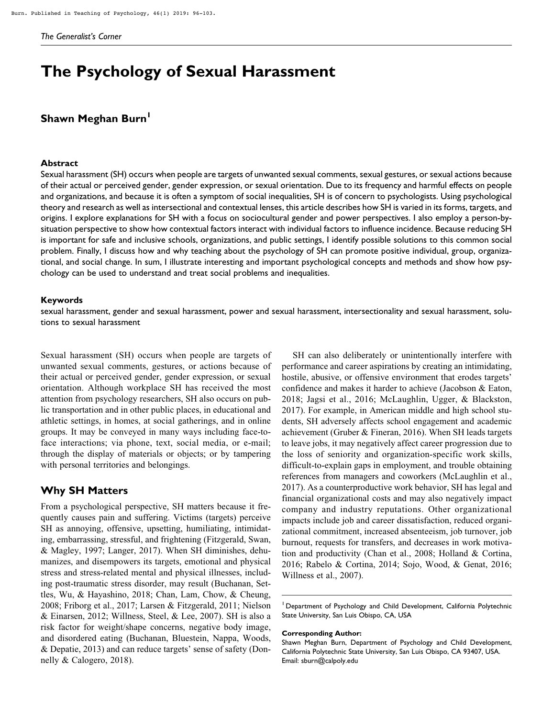The Generalist's Corner

# The Psychology of Sexual Harassment

# Shawn Meghan Burn<sup>1</sup>

#### **Abstract**

Sexual harassment (SH) occurs when people are targets of unwanted sexual comments, sexual gestures, or sexual actions because of their actual or perceived gender, gender expression, or sexual orientation. Due to its frequency and harmful effects on people and organizations, and because it is often a symptom of social inequalities, SH is of concern to psychologists. Using psychological theory and research as well as intersectional and contextual lenses, this article describes how SH is varied in its forms, targets, and origins. I explore explanations for SH with a focus on sociocultural gender and power perspectives. I also employ a person-bysituation perspective to show how contextual factors interact with individual factors to influence incidence. Because reducing SH is important for safe and inclusive schools, organizations, and public settings, I identify possible solutions to this common social problem. Finally, I discuss how and why teaching about the psychology of SH can promote positive individual, group, organizational, and social change. In sum, I illustrate interesting and important psychological concepts and methods and show how psychology can be used to understand and treat social problems and inequalities.

#### Keywords

sexual harassment, gender and sexual harassment, power and sexual harassment, intersectionality and sexual harassment, solutions to sexual harassment

Sexual harassment (SH) occurs when people are targets of unwanted sexual comments, gestures, or actions because of their actual or perceived gender, gender expression, or sexual orientation. Although workplace SH has received the most attention from psychology researchers, SH also occurs on public transportation and in other public places, in educational and athletic settings, in homes, at social gatherings, and in online groups. It may be conveyed in many ways including face-toface interactions; via phone, text, social media, or e-mail; through the display of materials or objects; or by tampering with personal territories and belongings.

#### Why SH Matters

From a psychological perspective, SH matters because it frequently causes pain and suffering. Victims (targets) perceive SH as annoying, offensive, upsetting, humiliating, intimidating, embarrassing, stressful, and frightening (Fitzgerald, Swan, & Magley, 1997; Langer, 2017). When SH diminishes, dehumanizes, and disempowers its targets, emotional and physical stress and stress-related mental and physical illnesses, including post-traumatic stress disorder, may result (Buchanan, Settles, Wu, & Hayashino, 2018; Chan, Lam, Chow, & Cheung, 2008; Friborg et al., 2017; Larsen & Fitzgerald, 2011; Nielson & Einarsen, 2012; Willness, Steel, & Lee, 2007). SH is also a risk factor for weight/shape concerns, negative body image, and disordered eating (Buchanan, Bluestein, Nappa, Woods, & Depatie, 2013) and can reduce targets' sense of safety (Donnelly & Calogero, 2018). The contraction of the state of the state of the state of the state of the state of the state of the state of the state of the state of the state of the state of the state of the state of the state

SH can also deliberately or unintentionally interfere with performance and career aspirations by creating an intimidating, hostile, abusive, or offensive environment that erodes targets' confidence and makes it harder to achieve (Jacobson & Eaton, 2018; Jagsi et al., 2016; McLaughlin, Ugger, & Blackston, 2017). For example, in American middle and high school students, SH adversely affects school engagement and academic achievement (Gruber & Fineran, 2016). When SH leads targets to leave jobs, it may negatively affect career progression due to the loss of seniority and organization-specific work skills, difficult-to-explain gaps in employment, and trouble obtaining references from managers and coworkers (McLaughlin et al., 2017). As a counterproductive work behavior, SH has legal and financial organizational costs and may also negatively impact company and industry reputations. Other organizational impacts include job and career dissatisfaction, reduced organizational commitment, increased absenteeism, job turnover, job burnout, requests for transfers, and decreases in work motivation and productivity (Chan et al., 2008; Holland & Cortina, 2016; Rabelo & Cortina, 2014; Sojo, Wood, & Genat, 2016; Willness et al., 2007).

#### Corresponding Author:

<sup>&</sup>lt;sup>1</sup> Department of Psychology and Child Development, California Polytechnic State University, San Luis Obispo, CA, USA

Shawn Meghan Burn, Department of Psychology and Child Development, California Polytechnic State University, San Luis Obispo, CA 93407, USA.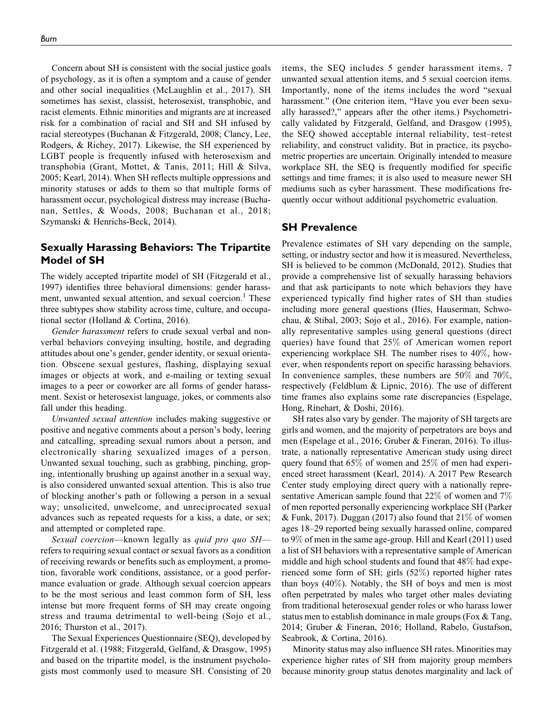Concern about SH is consistent with the social justice goals of psychology, as it is often a symptom and a cause of gender and other social inequalities (McLaughlin et al., 2017). SH sometimes has sexist, classist, heterosexist, transphobic, and racist elements. Ethnic minorities and migrants are at increased risk for a combination of racial and SH and SH infused by racial stereotypes (Buchanan & Fitzgerald, 2008; Clancy, Lee, Rodgers, & Richey, 2017). Likewise, the SH experienced by LGBT people is frequently infused with heterosexism and transphobia (Grant, Mottet, & Tanis, 2011; Hill & Silva, 2005; Kearl, 2014). When SH reflects multiple oppressions and minority statuses or adds to them so that multiple forms of harassment occur, psychological distress may increase (Buchanan, Settles, & Woods, 2008; Buchanan et al., 2018; Szymanski & Henrichs-Beck, 2014).

## Sexually Harassing Behaviors: The Tripartite Model of SH

The widely accepted tripartite model of SH (Fitzgerald et al., 1997) identifies three behavioral dimensions: gender harassment, unwanted sexual attention, and sexual coercion.<sup>1</sup> These three subtypes show stability across time, culture, and occupational sector (Holland & Cortina, 2016).

Gender harassment refers to crude sexual verbal and nonverbal behaviors conveying insulting, hostile, and degrading attitudes about one's gender, gender identity, or sexual orientation. Obscene sexual gestures, flashing, displaying sexual images or objects at work, and e-mailing or texting sexual images to a peer or coworker are all forms of gender harassment. Sexist or heterosexist language, jokes, or comments also fall under this heading.

Unwanted sexual attention includes making suggestive or positive and negative comments about a person's body, leering and catcalling, spreading sexual rumors about a person, and electronically sharing sexualized images of a person. Unwanted sexual touching, such as grabbing, pinching, groping, intentionally brushing up against another in a sexual way, is also considered unwanted sexual attention. This is also true of blocking another's path or following a person in a sexual way; unsolicited, unwelcome, and unreciprocated sexual advances such as repeated requests for a kiss, a date, or sex; and attempted or completed rape.

Sexual coercion—known legally as quid pro quo SH refers to requiring sexual contact or sexual favors as a condition of receiving rewards or benefits such as employment, a promotion, favorable work conditions, assistance, or a good performance evaluation or grade. Although sexual coercion appears to be the most serious and least common form of SH, less intense but more frequent forms of SH may create ongoing stress and trauma detrimental to well-being (Sojo et al., 2016; Thurston et al., 2017).

The Sexual Experiences Questionnaire (SEQ), developed by Fitzgerald et al. (1988; Fitzgerald, Gelfand, & Drasgow, 1995) and based on the tripartite model, is the instrument psychologists most commonly used to measure SH. Consisting of 20

items, the SEQ includes 5 gender harassment items, 7 unwanted sexual attention items, and 5 sexual coercion items. Importantly, none of the items includes the word "sexual harassment." (One criterion item, "Have you ever been sexually harassed?," appears after the other items.) Psychometrically validated by Fitzgerald, Gelfand, and Drasgow (1995), the SEQ showed acceptable internal reliability, test–retest reliability, and construct validity. But in practice, its psychometric properties are uncertain. Originally intended to measure workplace SH, the SEQ is frequently modified for specific settings and time frames; it is also used to measure newer SH mediums such as cyber harassment. These modifications frequently occur without additional psychometric evaluation.

#### SH Prevalence

Prevalence estimates of SH vary depending on the sample, setting, or industry sector and how it is measured. Nevertheless, SH is believed to be common (McDonald, 2012). Studies that provide a comprehensive list of sexually harassing behaviors and that ask participants to note which behaviors they have experienced typically find higher rates of SH than studies including more general questions (Ilies, Hauserman, Schwochau, & Stibal, 2003; Sojo et al., 2016). For example, nationally representative samples using general questions (direct queries) have found that 25% of American women report experiencing workplace SH. The number rises to 40%, however, when respondents report on specific harassing behaviors. In convenience samples, these numbers are 50% and 70%, respectively (Feldblum & Lipnic, 2016). The use of different time frames also explains some rate discrepancies (Espelage, Hong, Rinehart, & Doshi, 2016).

SH rates also vary by gender. The majority of SH targets are girls and women, and the majority of perpetrators are boys and men (Espelage et al., 2016; Gruber & Fineran, 2016). To illustrate, a nationally representative American study using direct query found that 65% of women and 25% of men had experienced street harassment (Kearl, 2014). A 2017 Pew Research Center study employing direct query with a nationally representative American sample found that 22% of women and 7% of men reported personally experiencing workplace SH (Parker & Funk, 2017). Duggan (2017) also found that  $21\%$  of women ages 18–29 reported being sexually harassed online, compared to 9% of men in the same age-group. Hill and Kearl (2011) used a list of SH behaviors with a representative sample of American middle and high school students and found that 48% had experienced some form of SH; girls (52%) reported higher rates than boys  $(40\%)$ . Notably, the SH of boys and men is most often perpetrated by males who target other males deviating from traditional heterosexual gender roles or who harass lower status men to establish dominance in male groups (Fox & Tang, 2014; Gruber & Fineran, 2016; Holland, Rabelo, Gustafson, Seabrook, & Cortina, 2016).

Minority status may also influence SH rates. Minorities may experience higher rates of SH from majority group members because minority group status denotes marginality and lack of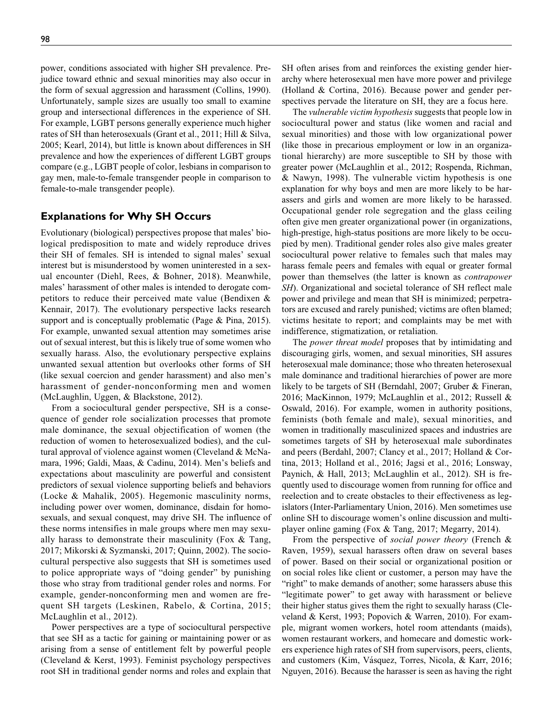power, conditions associated with higher SH prevalence. Prejudice toward ethnic and sexual minorities may also occur in the form of sexual aggression and harassment (Collins, 1990). Unfortunately, sample sizes are usually too small to examine group and intersectional differences in the experience of SH. For example, LGBT persons generally experience much higher rates of SH than heterosexuals (Grant et al., 2011; Hill & Silva, 2005; Kearl, 2014), but little is known about differences in SH prevalence and how the experiences of different LGBT groups compare (e.g., LGBT people of color, lesbians in comparison to gay men, male-to-female transgender people in comparison to female-to-male transgender people).

#### Explanations for Why SH Occurs

Evolutionary (biological) perspectives propose that males' biological predisposition to mate and widely reproduce drives their SH of females. SH is intended to signal males' sexual interest but is misunderstood by women uninterested in a sexual encounter (Diehl, Rees, & Bohner, 2018). Meanwhile, males' harassment of other males is intended to derogate competitors to reduce their perceived mate value (Bendixen & Kennair, 2017). The evolutionary perspective lacks research support and is conceptually problematic (Page & Pina, 2015). For example, unwanted sexual attention may sometimes arise out of sexual interest, but this is likely true of some women who sexually harass. Also, the evolutionary perspective explains unwanted sexual attention but overlooks other forms of SH (like sexual coercion and gender harassment) and also men's harassment of gender-nonconforming men and women (McLaughlin, Uggen, & Blackstone, 2012).

From a sociocultural gender perspective, SH is a consequence of gender role socialization processes that promote male dominance, the sexual objectification of women (the reduction of women to heterosexualized bodies), and the cultural approval of violence against women (Cleveland & McNamara, 1996; Galdi, Maas, & Cadinu, 2014). Men's beliefs and expectations about masculinity are powerful and consistent predictors of sexual violence supporting beliefs and behaviors (Locke & Mahalik, 2005). Hegemonic masculinity norms, including power over women, dominance, disdain for homosexuals, and sexual conquest, may drive SH. The influence of these norms intensifies in male groups where men may sexually harass to demonstrate their masculinity (Fox & Tang, 2017; Mikorski & Syzmanski, 2017; Quinn, 2002). The sociocultural perspective also suggests that SH is sometimes used to police appropriate ways of "doing gender" by punishing those who stray from traditional gender roles and norms. For example, gender-nonconforming men and women are frequent SH targets (Leskinen, Rabelo, & Cortina, 2015; McLaughlin et al., 2012).

Power perspectives are a type of sociocultural perspective that see SH as a tactic for gaining or maintaining power or as arising from a sense of entitlement felt by powerful people (Cleveland & Kerst, 1993). Feminist psychology perspectives root SH in traditional gender norms and roles and explain that SH often arises from and reinforces the existing gender hierarchy where heterosexual men have more power and privilege (Holland & Cortina, 2016). Because power and gender perspectives pervade the literature on SH, they are a focus here.

The vulnerable victim hypothesis suggests that people low in sociocultural power and status (like women and racial and sexual minorities) and those with low organizational power (like those in precarious employment or low in an organizational hierarchy) are more susceptible to SH by those with greater power (McLaughlin et al., 2012; Rospenda, Richman, & Nawyn, 1998). The vulnerable victim hypothesis is one explanation for why boys and men are more likely to be harassers and girls and women are more likely to be harassed. Occupational gender role segregation and the glass ceiling often give men greater organizational power (in organizations, high-prestige, high-status positions are more likely to be occupied by men). Traditional gender roles also give males greater sociocultural power relative to females such that males may harass female peers and females with equal or greater formal power than themselves (the latter is known as contrapower SH). Organizational and societal tolerance of SH reflect male power and privilege and mean that SH is minimized; perpetrators are excused and rarely punished; victims are often blamed; victims hesitate to report; and complaints may be met with indifference, stigmatization, or retaliation.

The *power threat model* proposes that by intimidating and discouraging girls, women, and sexual minorities, SH assures heterosexual male dominance; those who threaten heterosexual male dominance and traditional hierarchies of power are more likely to be targets of SH (Berndahl, 2007; Gruber & Fineran, 2016; MacKinnon, 1979; McLaughlin et al., 2012; Russell & Oswald, 2016). For example, women in authority positions, feminists (both female and male), sexual minorities, and women in traditionally masculinized spaces and industries are sometimes targets of SH by heterosexual male subordinates and peers (Berdahl, 2007; Clancy et al., 2017; Holland & Cortina, 2013; Holland et al., 2016; Jagsi et al., 2016; Lonsway, Paynich, & Hall, 2013; McLaughlin et al., 2012). SH is frequently used to discourage women from running for office and reelection and to create obstacles to their effectiveness as legislators (Inter-Parliamentary Union, 2016). Men sometimes use online SH to discourage women's online discussion and multiplayer online gaming (Fox & Tang, 2017; Megarry, 2014).

From the perspective of *social power theory* (French & Raven, 1959), sexual harassers often draw on several bases of power. Based on their social or organizational position or on social roles like client or customer, a person may have the "right" to make demands of another; some harassers abuse this "legitimate power" to get away with harassment or believe their higher status gives them the right to sexually harass (Cleveland & Kerst, 1993; Popovich & Warren, 2010). For example, migrant women workers, hotel room attendants (maids), women restaurant workers, and homecare and domestic workers experience high rates of SH from supervisors, peers, clients, and customers (Kim, Vásquez, Torres, Nicola, & Karr, 2016; Nguyen, 2016). Because the harasser is seen as having the right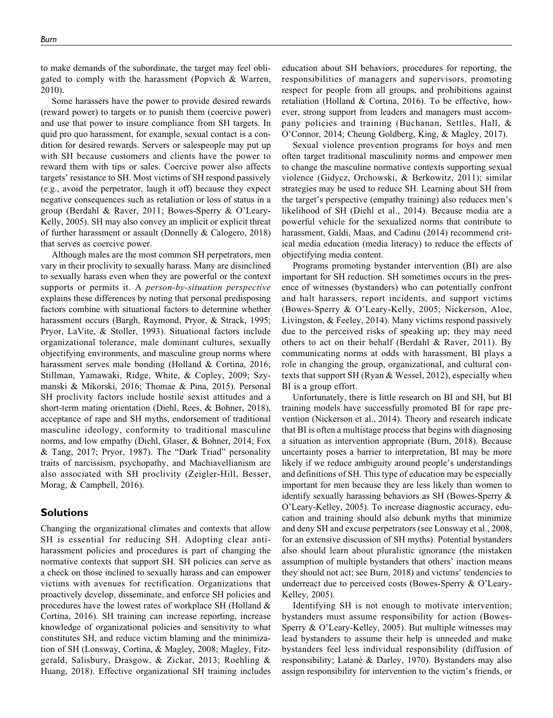to make demands of the subordinate, the target may feel obligated to comply with the harassment (Popvich & Warren, 2010).

Some harassers have the power to provide desired rewards (reward power) to targets or to punish them (coercive power) and use that power to insure compliance from SH targets. In quid pro quo harassment, for example, sexual contact is a condition for desired rewards. Servers or salespeople may put up with SH because customers and clients have the power to reward them with tips or sales. Coercive power also affects targets' resistance to SH. Most victims of SH respond passively (e.g., avoid the perpetrator, laugh it off) because they expect negative consequences such as retaliation or loss of status in a group (Berdahl & Raver, 2011; Bowes-Sperry & O'Leary-Kelly, 2005). SH may also convey an implicit or explicit threat of further harassment or assault (Donnelly & Calogero, 2018) that serves as coercive power.

Although males are the most common SH perpetrators, men vary in their proclivity to sexually harass. Many are disinclined to sexually harass even when they are powerful or the context supports or permits it. A *person-by-situation perspective* explains these differences by noting that personal predisposing factors combine with situational factors to determine whether harassment occurs (Bargh, Raymond, Pryor, & Strack, 1995; Pryor, LaVite, & Stoller, 1993). Situational factors include organizational tolerance, male dominant cultures, sexually objectifying environments, and masculine group norms where harassment serves male bonding (Holland & Cortina, 2016; Stillman, Yamawaki, Ridge, White, & Copley, 2009; Szymanski & Mikorski, 2016; Thomae & Pina, 2015). Personal SH proclivity factors include hostile sexist attitudes and a short-term mating orientation (Diehl, Rees, & Bohner, 2018), acceptance of rape and SH myths, endorsement of traditional masculine ideology, conformity to traditional masculine norms, and low empathy (Diehl, Glaser, & Bohner, 2014; Fox & Tang, 2017; Pryor, 1987). The "Dark Triad" personality traits of narcissism, psychopathy, and Machiavellianism are also associated with SH proclivity (Zeigler-Hill, Besser, Morag, & Campbell, 2016).

#### **Solutions**

Changing the organizational climates and contexts that allow SH is essential for reducing SH. Adopting clear antiharassment policies and procedures is part of changing the normative contexts that support SH. SH policies can serve as a check on those inclined to sexually harass and can empower victims with avenues for rectification. Organizations that proactively develop, disseminate, and enforce SH policies and procedures have the lowest rates of workplace SH (Holland & Cortina, 2016). SH training can increase reporting, increase knowledge of organizational policies and sensitivity to what constitutes SH, and reduce victim blaming and the minimization of SH (Lonsway, Cortina, & Magley, 2008; Magley, Fitzgerald, Salisbury, Drasgow, & Zickar, 2013; Roehling & Huang, 2018). Effective organizational SH training includes

education about SH behaviors, procedures for reporting, the responsibilities of managers and supervisors, promoting respect for people from all groups, and prohibitions against retaliation (Holland & Cortina, 2016). To be effective, however, strong support from leaders and managers must accompany policies and training (Buchanan, Settles, Hall, & O'Connor, 2014; Cheung Goldberg, King, & Magley, 2017).

Sexual violence prevention programs for boys and men often target traditional masculinity norms and empower men to change the masculine normative contexts supporting sexual violence (Gidycz, Orchowski, & Berkowitz, 2011); similar strategies may be used to reduce SH. Learning about SH from the target's perspective (empathy training) also reduces men's likelihood of SH (Diehl et al., 2014). Because media are a powerful vehicle for the sexualized norms that contribute to harassment, Galdi, Maas, and Cadinu (2014) recommend critical media education (media literacy) to reduce the effects of objectifying media content.

Programs promoting bystander intervention (BI) are also important for SH reduction. SH sometimes occurs in the presence of witnesses (bystanders) who can potentially confront and halt harassers, report incidents, and support victims (Bowes-Sperry & O'Leary-Kelly, 2005; Nickerson, Aloe, Livingston, & Feeley, 2014). Many victims respond passively due to the perceived risks of speaking up; they may need others to act on their behalf (Berdahl & Raver, 2011). By communicating norms at odds with harassment, BI plays a role in changing the group, organizational, and cultural contexts that support SH (Ryan & Wessel, 2012), especially when BI is a group effort.

Unfortunately, there is little research on BI and SH, but BI training models have successfully promoted BI for rape prevention (Nickerson et al., 2014). Theory and research indicate that BI is often a multistage process that begins with diagnosing a situation as intervention appropriate (Burn, 2018). Because uncertainty poses a barrier to interpretation, BI may be more likely if we reduce ambiguity around people's understandings and definitions of SH. This type of education may be especially important for men because they are less likely than women to identify sexually harassing behaviors as SH (Bowes-Sperry & O'Leary-Kelley, 2005). To increase diagnostic accuracy, education and training should also debunk myths that minimize and deny SH and excuse perpetrators (see Lonsway et al., 2008, for an extensive discussion of SH myths). Potential bystanders also should learn about pluralistic ignorance (the mistaken assumption of multiple bystanders that others' inaction means they should not act; see Burn, 2018) and victims' tendencies to underreact due to perceived costs (Bowes-Sperry & O'Leary-Kelley, 2005).

Identifying SH is not enough to motivate intervention; bystanders must assume responsibility for action (Bowes-Sperry & O'Leary-Kelley, 2005). But multiple witnesses may lead bystanders to assume their help is unneeded and make bystanders feel less individual responsibility (diffusion of responsibility; Latané & Darley, 1970). Bystanders may also assign responsibility for intervention to the victim's friends, or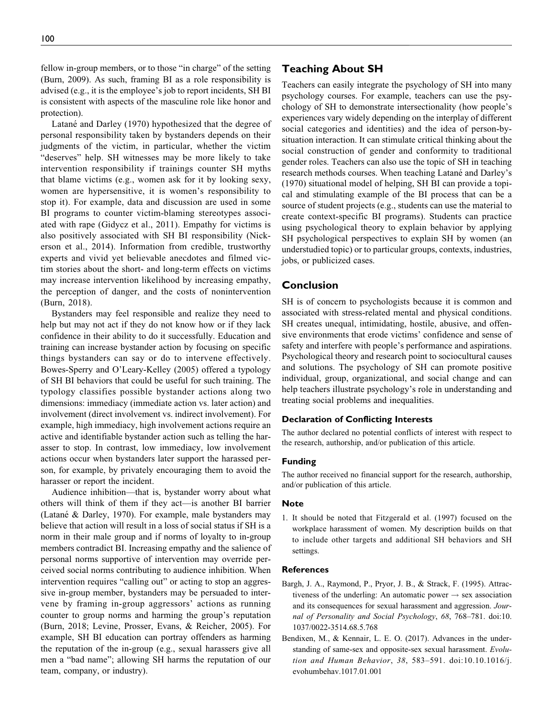fellow in-group members, or to those "in charge" of the setting (Burn, 2009). As such, framing BI as a role responsibility is advised (e.g., it is the employee's job to report incidents, SH BI is consistent with aspects of the masculine role like honor and protection).

Latané and Darley (1970) hypothesized that the degree of personal responsibility taken by bystanders depends on their judgments of the victim, in particular, whether the victim "deserves" help. SH witnesses may be more likely to take intervention responsibility if trainings counter SH myths that blame victims (e.g., women ask for it by looking sexy, women are hypersensitive, it is women's responsibility to stop it). For example, data and discussion are used in some BI programs to counter victim-blaming stereotypes associated with rape (Gidycz et al., 2011). Empathy for victims is also positively associated with SH BI responsibility (Nickerson et al., 2014). Information from credible, trustworthy experts and vivid yet believable anecdotes and filmed victim stories about the short- and long-term effects on victims may increase intervention likelihood by increasing empathy, the perception of danger, and the costs of nonintervention (Burn, 2018).

Bystanders may feel responsible and realize they need to help but may not act if they do not know how or if they lack confidence in their ability to do it successfully. Education and training can increase bystander action by focusing on specific things bystanders can say or do to intervene effectively. Bowes-Sperry and O'Leary-Kelley (2005) offered a typology of SH BI behaviors that could be useful for such training. The typology classifies possible bystander actions along two dimensions: immediacy (immediate action vs. later action) and involvement (direct involvement vs. indirect involvement). For example, high immediacy, high involvement actions require an active and identifiable bystander action such as telling the harasser to stop. In contrast, low immediacy, low involvement actions occur when bystanders later support the harassed person, for example, by privately encouraging them to avoid the harasser or report the incident.

Audience inhibition—that is, bystander worry about what others will think of them if they act—is another BI barrier (Latané & Darley, 1970). For example, male bystanders may believe that action will result in a loss of social status if SH is a norm in their male group and if norms of loyalty to in-group members contradict BI. Increasing empathy and the salience of personal norms supportive of intervention may override perceived social norms contributing to audience inhibition. When intervention requires "calling out" or acting to stop an aggressive in-group member, bystanders may be persuaded to intervene by framing in-group aggressors' actions as running counter to group norms and harming the group's reputation (Burn, 2018; Levine, Prosser, Evans, & Reicher, 2005). For example, SH BI education can portray offenders as harming the reputation of the in-group (e.g., sexual harassers give all men a "bad name"; allowing SH harms the reputation of our team, company, or industry).

## Teaching About SH

Teachers can easily integrate the psychology of SH into many psychology courses. For example, teachers can use the psychology of SH to demonstrate intersectionality (how people's experiences vary widely depending on the interplay of different social categories and identities) and the idea of person-bysituation interaction. It can stimulate critical thinking about the social construction of gender and conformity to traditional gender roles. Teachers can also use the topic of SH in teaching research methods courses. When teaching Latané and Darley's (1970) situational model of helping, SH BI can provide a topical and stimulating example of the BI process that can be a source of student projects (e.g., students can use the material to create context-specific BI programs). Students can practice using psychological theory to explain behavior by applying SH psychological perspectives to explain SH by women (an understudied topic) or to particular groups, contexts, industries, jobs, or publicized cases.

## Conclusion

SH is of concern to psychologists because it is common and associated with stress-related mental and physical conditions. SH creates unequal, intimidating, hostile, abusive, and offensive environments that erode victims' confidence and sense of safety and interfere with people's performance and aspirations. Psychological theory and research point to sociocultural causes and solutions. The psychology of SH can promote positive individual, group, organizational, and social change and can help teachers illustrate psychology's role in understanding and treating social problems and inequalities.

#### Declaration of Conflicting Interests

The author declared no potential conflicts of interest with respect to the research, authorship, and/or publication of this article.

#### Funding

The author received no financial support for the research, authorship, and/or publication of this article.

#### **Note**

1. It should be noted that Fitzgerald et al. (1997) focused on the workplace harassment of women. My description builds on that to include other targets and additional SH behaviors and SH settings.

#### **References**

- Bargh, J. A., Raymond, P., Pryor, J. B., & Strack, F. (1995). Attractiveness of the underling: An automatic power  $\rightarrow$  sex association and its consequences for sexual harassment and aggression. Journal of Personality and Social Psychology, 68, 768–781. doi:10. 1037/0022-3514.68.5.768
- Bendixen, M., & Kennair, L. E. O. (2017). Advances in the understanding of same-sex and opposite-sex sexual harassment. Evolution and Human Behavior, 38, 583–591. doi:10.10.1016/j. evohumbehav.1017.01.001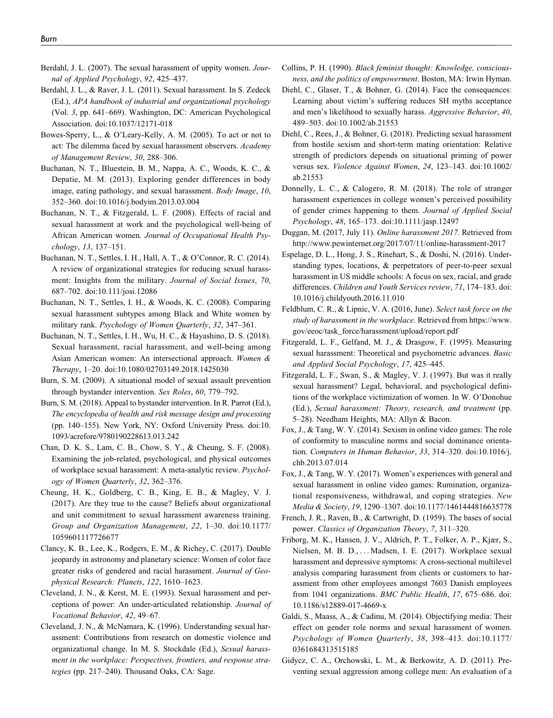- Berdahl, J. L. (2007). The sexual harassment of uppity women. Journal of Applied Psychology, 92, 425–437.
- Berdahl, J. L., & Raver, J. L. (2011). Sexual harassment. In S. Zedeck (Ed.), APA handbook of industrial and organizational psychology (Vol. 3, pp. 641–669). Washington, DC: American Psychological Association. doi:10.1037/12171-018
- Bowes-Sperry, L., & O'Leary-Kelly, A. M. (2005). To act or not to act: The dilemma faced by sexual harassment observers. Academy of Management Review, 30, 288–306.
- Buchanan, N. T., Bluestein, B. M., Nappa, A. C., Woods, K. C., & Depatie, M. M. (2013). Exploring gender differences in body image, eating pathology, and sexual harassment. Body Image, 10, 352–360. doi:10.1016/j.bodyim.2013.03.004
- Buchanan, N. T., & Fitzgerald, L. F. (2008). Effects of racial and sexual harassment at work and the psychological well-being of African American women. Journal of Occupational Health Psychology, 13, 137–151.
- Buchanan, N. T., Settles, I. H., Hall, A. T., & O'Connor, R. C. (2014). A review of organizational strategies for reducing sexual harassment: Insights from the military. Journal of Social Issues, 70, 687–702. doi:10.111/josi.12086
- Buchanan, N. T., Settles, I. H., & Woods, K. C. (2008). Comparing sexual harassment subtypes among Black and White women by military rank. Psychology of Women Quarterly, 32, 347–361.
- Buchanan, N. T., Settles, I. H., Wu, H. C., & Hayashino, D. S. (2018). Sexual harassment, racial harassment, and well-being among Asian American women: An intersectional approach. Women & Therapy, 1–20. doi:10.1080/02703149.2018.1425030
- Burn, S. M. (2009). A situational model of sexual assault prevention through bystander intervention. Sex Roles, 60, 779–792.
- Burn, S. M. (2018). Appeal to bystander intervention. In R. Parrot (Ed.), The encyclopedia of health and risk message design and processing (pp. 140–155). New York, NY: Oxford University Press. doi:10. 1093/acrefore/9780190228613.013.242
- Chan, D. K. S., Lam, C. B., Chow, S. Y., & Cheung, S. F. (2008). Examining the job-related, psychological, and physical outcomes of workplace sexual harassment: A meta-analytic review. Psychology of Women Quarterly, 32, 362–376.
- Cheung, H. K., Goldberg, C. B., King, E. B., & Magley, V. J. (2017). Are they true to the cause? Beliefs about organizational and unit commitment to sexual harassment awareness training. Group and Organization Management, 22, 1–30. doi:10.1177/ 1059601117726677
- Clancy, K. B., Lee, K., Rodgers, E. M., & Richey, C. (2017). Double jeopardy in astronomy and planetary science: Women of color face greater risks of gendered and racial harassment. Journal of Geophysical Research: Planets, 122, 1610–1623.
- Cleveland, J. N., & Kerst, M. E. (1993). Sexual harassment and perceptions of power: An under-articulated relationship. Journal of Vocational Behavior, 42, 49–67.
- Cleveland, J. N., & McNamara, K. (1996). Understanding sexual harassment: Contributions from research on domestic violence and organizational change. In M. S. Stockdale (Ed.), Sexual harassment in the workplace: Perspectives, frontiers, and response strategies (pp. 217–240). Thousand Oaks, CA: Sage.
- Collins, P. H. (1990). Black feminist thought: Knowledge, consciousness, and the politics of empowerment. Boston, MA: Irwin Hyman.
- Diehl, C., Glaser, T., & Bohner, G. (2014). Face the consequences: Learning about victim's suffering reduces SH myths acceptance and men's likelihood to sexually harass. Aggressive Behavior, 40, 489–503. doi:10.1002/ab.21553
- Diehl, C., Rees, J., & Bohner, G. (2018). Predicting sexual harassment from hostile sexism and short-term mating orientation: Relative strength of predictors depends on situational priming of power versus sex. Violence Against Women, 24, 123–143. doi:10.1002/ ab.21553
- Donnelly, L. C., & Calogero, R. M. (2018). The role of stranger harassment experiences in college women's perceived possibility of gender crimes happening to them. Journal of Applied Social Psychology, 48, 165–173. doi:10.1111/jasp.12497
- Duggan, M. (2017, July 11). Online harassment 2017. Retrieved from <http://www.pewinternet.org/2017/07/11/online-harassment-2017>
- Espelage, D. L., Hong, J. S., Rinehart, S., & Doshi, N. (2016). Understanding types, locations, & perpetrators of peer-to-peer sexual harassment in US middle schools: A focus on sex, racial, and grade differences. Children and Youth Services review, 71, 174–183. doi: 10.1016/j.childyouth.2016.11.010
- Feldblum, C. R., & Lipnic, V. A. (2016, June). Select task force on the study of harassment in the workplace. Retrieved from <https://www>. gov/eeoc/task\_force/harassment/upload/report.pdf
- Fitzgerald, L. F., Gelfand, M. J., & Drasgow, F. (1995). Measuring sexual harassment: Theoretical and psychometric advances. Basic and Applied Social Psychology, 17, 425–445.
- Fitzgerald, L. F., Swan, S., & Magley, V. J. (1997). But was it really sexual harassment? Legal, behavioral, and psychological definitions of the workplace victimization of women. In W. O'Donohue (Ed.), Sexual harassment: Theory, research, and treatment (pp. 5–28). Needham Heights, MA: Allyn & Bacon.
- Fox, J., & Tang, W. Y. (2014). Sexism in online video games: The role of conformity to masculine norms and social dominance orientation. Computers in Human Behavior, 33, 314–320. doi:10.1016/j. chb.2013.07.014
- Fox, J., & Tang, W. Y. (2017). Women's experiences with general and sexual harassment in online video games: Rumination, organizational responsiveness, withdrawal, and coping strategies. New Media & Society, 19, 1290–1307. doi:10.1177/1461444816635778
- French, J. R., Raven, B., & Cartwright, D. (1959). The bases of social power. Classics of Organization Theory, 7, 311–320.
- Friborg, M. K., Hansen, J. V., Aldrich, P. T., Folker, A. P., Kjær, S., Nielsen, M. B. D., ... Madsen, I. E. (2017). Workplace sexual harassment and depressive symptoms: A cross-sectional multilevel analysis comparing harassment from clients or customers to harassment from other employees amongst 7603 Danish employees from 1041 organizations. BMC Public Health, 17, 675–686. doi: 10.1186/s12889-017-4669-x
- Galdi, S., Maass, A., & Cadinu, M. (2014). Objectifying media: Their effect on gender role norms and sexual harassment of women. Psychology of Women Quarterly, 38, 398–413. doi:10.1177/ 0361684313515185
- Gidycz, C. A., Orchowski, L. M., & Berkowitz, A. D. (2011). Preventing sexual aggression among college men: An evaluation of a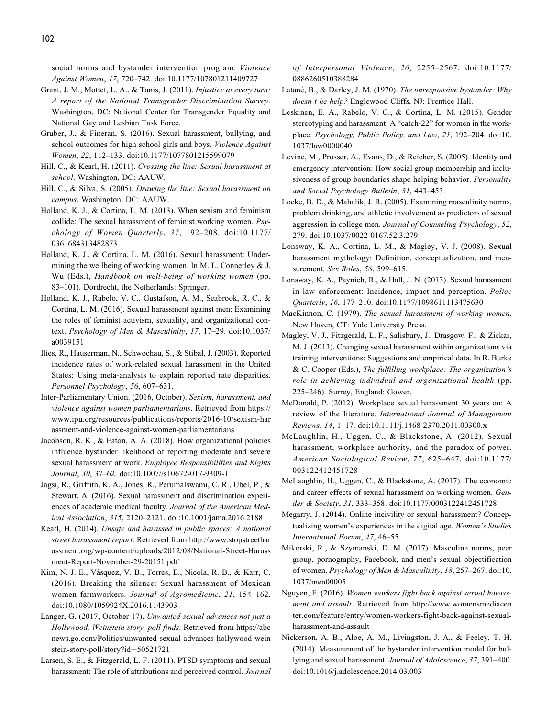social norms and bystander intervention program. Violence Against Women, 17, 720–742. doi:10.1177/107801211409727

- Grant, J. M., Mottet, L. A., & Tanis, J. (2011). Injustice at every turn: A report of the National Transgender Discrimination Survey. Washington, DC: National Center for Transgender Equality and National Gay and Lesbian Task Force.
- Gruber, J., & Fineran, S. (2016). Sexual harassment, bullying, and school outcomes for high school girls and boys. Violence Against Women, 22, 112–133. doi:10.1177/1077801215599079
- Hill, C., & Kearl, H. (2011). Crossing the line: Sexual harassment at school. Washington, DC: AAUW.
- Hill, C., & Silva, S. (2005). Drawing the line: Sexual harassment on campus. Washington, DC: AAUW.
- Holland, K. J., & Cortina, L. M. (2013). When sexism and feminism collide: The sexual harassment of feminist working women. Psychology of Women Quarterly, 37, 192–208. doi:10.1177/ 0361684313482873
- Holland, K. J., & Cortina, L. M. (2016). Sexual harassment: Undermining the wellbeing of working women. In M. L. Connerley & J. Wu (Eds.), Handbook on well-being of working women (pp. 83–101). Dordrecht, the Netherlands: Springer.
- Holland, K. J., Rabelo, V. C., Gustafson, A. M., Seabrook, R. C., & Cortina, L. M. (2016). Sexual harassment against men: Examining the roles of feminist activism, sexuality, and organizational context. Psychology of Men & Masculinity, 17, 17–29. doi:10.1037/ a0039151
- Ilies, R., Hauserman, N., Schwochau, S., & Stibal, J. (2003). Reported incidence rates of work-related sexual harassment in the United States: Using meta-analysis to explain reported rate disparities. Personnel Psychology, 56, 607–631.
- Inter-Parliamentary Union. (2016, October). Sexism, harassment, and violence against women parliamentarians. Retrieved from https:// <www.ipu.org/resources/publications/reports/2016-10/sexism-har> assment-and-violence-against-women-parliamentarians
- Jacobson, R. K., & Eaton, A. A. (2018). How organizational policies influence bystander likelihood of reporting moderate and severe sexual harassment at work. Employee Responsibilities and Rights Journal, 30, 37–62. doi:10.1007//s10672-017-9309-1
- Jagsi, R., Griffith, K. A., Jones, R., Perumalswami, C. R., Ubel, P., & Stewart, A. (2016). Sexual harassment and discrimination experiences of academic medical faculty. Journal of the American Medical Association, 315, 2120–2121. doi:10.1001/jama.2016.2188
- Kearl, H. (2014). Unsafe and harassed in public spaces: A national street harassment report. Retrieved from <http://www.stopstreethar> [assment.org/wp-content/uploads/2012/08/National-Street-Harass](https://assment.org/wp-content/uploads/2012/08/National-Street-Harass) ment-Report-November-29-20151.pdf
- Kim, N. J. E., Vásquez, V. B., Torres, E., Nicola, R. B., & Karr, C. (2016). Breaking the silence: Sexual harassment of Mexican women farmworkers. Journal of Agromedicine, 21, 154–162. doi:10.1080/1059924X.2016.1143903
- Langer, G. (2017, October 17). Unwanted sexual advances not just a Hollywood, Weinstein story, poll finds. Retrieved from <https://abc> [news.go.com/Politics/unwanted-sexual-advances-hollywood-wein](https://news.go.com/Politics/unwanted-sexual-advances-hollywood-wein) stein-story-poll/story?id=50521721
- Larsen, S. E., & Fitzgerald, L. F. (2011). PTSD symptoms and sexual harassment: The role of attributions and perceived control. Journal

of Interpersonal Violence, 26, 2255–2567. doi:10.1177/ 0886260510388284

- Latané, B., & Darley, J. M. (1970). The unresponsive bystander: Why doesn't he help? Englewood Cliffs, NJ: Prentice Hall.
- Leskinen, E. A., Rabelo, V. C., & Cortina, L. M. (2015). Gender stereotyping and harassment: A "catch-22" for women in the workplace. Psychology, Public Policy, and Law, 21, 192–204. doi:10. 1037/law0000040
- Levine, M., Prosser, A., Evans, D., & Reicher, S. (2005). Identity and emergency intervention: How social group membership and inclusiveness of group boundaries shape helping behavior. Personality and Social Psychology Bulletin, 31, 443–453.
- Locke, B. D., & Mahalik, J. R. (2005). Examining masculinity norms, problem drinking, and athletic involvement as predictors of sexual aggression in college men. Journal of Counseling Psychology, 52, 279. doi:10.1037/0022-0167.52.3.279
- Lonsway, K. A., Cortina, L. M., & Magley, V. J. (2008). Sexual harassment mythology: Definition, conceptualization, and measurement. Sex Roles, 58, 599–615.
- Lonsway, K. A., Paynich, R., & Hall, J. N. (2013). Sexual harassment in law enforcement: Incidence, impact and perception. Police Quarterly, 16, 177–210. doi:10.1177/1098611113475630
- MacKinnon, C. (1979). The sexual harassment of working women. New Haven, CT: Yale University Press.
- Magley, V. J., Fitzgerald, L. F., Salisbury, J., Drasgow, F., & Zickar, M. J. (2013). Changing sexual harassment within organizations via training interventions: Suggestions and empirical data. In R. Burke & C. Cooper (Eds.), The fulfilling workplace: The organization's role in achieving individual and organizational health (pp. 225–246). Surrey, England: Gower.
- McDonald, P. (2012). Workplace sexual harassment 30 years on: A review of the literature. International Journal of Management Reviews, 14, 1–17. doi:10.1111/j.1468-2370.2011.00300.x
- McLaughlin, H., Uggen, C., & Blackstone, A. (2012). Sexual harassment, workplace authority, and the paradox of power. American Sociological Review, 77, 625–647. doi:10.1177/ 003122412451728
- McLaughlin, H., Uggen, C., & Blackstone, A. (2017). The economic and career effects of sexual harassment on working women. Gender & Society, 31, 333–358. doi:10.1177/0003122412451728
- Megarry, J. (2014). Online incivility or sexual harassment? Conceptualizing women's experiences in the digital age. Women's Studies International Forum, 47, 46–55.
- Mikorski, R., & Szymanski, D. M. (2017). Masculine norms, peer group, pornography, Facebook, and men's sexual objectification of women. Psychology of Men & Masculinity, 18, 257–267. doi:10. 1037/men00005
- Nguyen, F. (2016). Women workers fight back against sexual harassment and assault. Retrieved from <http://www.womensmediacen> [ter.com/feature/entry/women-workers-fight-back-against-sexual](https://ter.com/feature/entry/women-workers-fight-back-against-sexual)harassment-and-assault
- Nickerson, A. B., Aloe, A. M., Livingston, J. A., & Feeley, T. H. (2014). Measurement of the bystander intervention model for bullying and sexual harassment. Journal of Adolescence, 37, 391–400. doi:10.1016/j.adolescence.2014.03.003